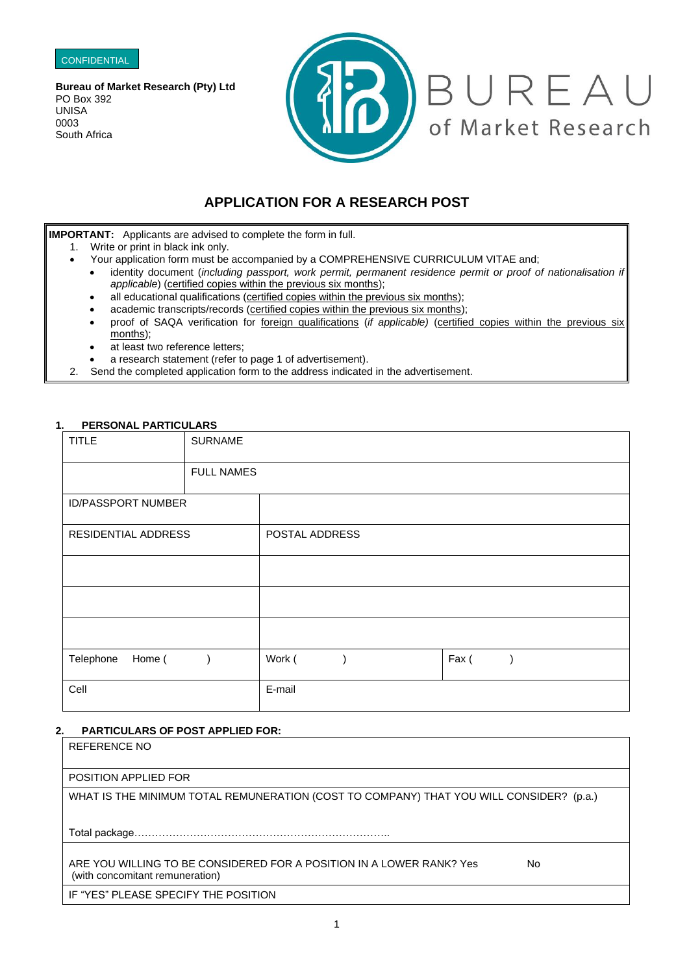

**Bureau of Market Research (Pty) Ltd** PO Box 392 UNISA 0003 South Africa



# **APPLICATION FOR A RESEARCH POST**

**IMPORTANT:** Applicants are advised to complete the form in full.

- 1. Write or print in black ink only.
	- Your application form must be accompanied by a COMPREHENSIVE CURRICULUM VITAE and;
	- identity document (*including passport, work permit, permanent residence permit or proof of nationalisation if applicable*) (certified copies within the previous six months);
	- all educational qualifications (certified copies within the previous six months);
	- academic transcripts/records (certified copies within the previous six months);
	- proof of SAQA verification for foreign qualifications (*if applicable*) (certified copies within the previous six months);
	- at least two reference letters;
	- a research statement (refer to page 1 of advertisement).
- 2. Send the completed application form to the address indicated in the advertisement.

# **1. PERSONAL PARTICULARS**

| <b>TITLE</b>              | <b>SURNAME</b>    |                |  |       |  |
|---------------------------|-------------------|----------------|--|-------|--|
|                           | <b>FULL NAMES</b> |                |  |       |  |
| <b>ID/PASSPORT NUMBER</b> |                   |                |  |       |  |
| RESIDENTIAL ADDRESS       |                   | POSTAL ADDRESS |  |       |  |
|                           |                   |                |  |       |  |
|                           |                   |                |  |       |  |
|                           |                   |                |  |       |  |
| Telephone<br>Home (       |                   | Work (         |  | Fax ( |  |
| Cell                      |                   | E-mail         |  |       |  |

# **2. PARTICULARS OF POST APPLIED FOR:**

REFERENCE NO POSITION APPLIED FOR WHAT IS THE MINIMUM TOTAL REMUNERATION (COST TO COMPANY) THAT YOU WILL CONSIDER? (p.a.) Total package……………………………………………………………….. ARE YOU WILLING TO BE CONSIDERED FOR A POSITION IN A LOWER RANK? Yes No (with concomitant remuneration) IF "YES" PLEASE SPECIFY THE POSITION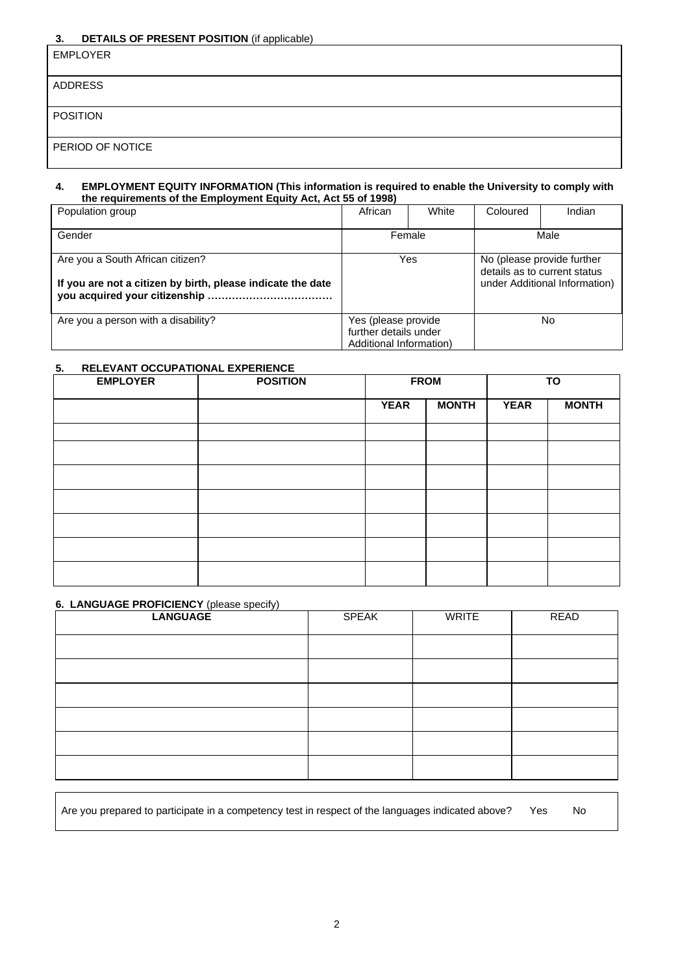# **3. DETAILS OF PRESENT POSITION** (if applicable)

| $-$<br>.<br>.    |
|------------------|
| <b>EMPLOYER</b>  |
| ADDRESS          |
| <b>POSITION</b>  |
| PERIOD OF NOTICE |

### **4. EMPLOYMENT EQUITY INFORMATION (This information is required to enable the University to comply with the requirements of the Employment Equity Act, Act 55 of 1998)**

| Population group                                                                                | African                                                                 | White | Coloured                                                                                    | Indian |
|-------------------------------------------------------------------------------------------------|-------------------------------------------------------------------------|-------|---------------------------------------------------------------------------------------------|--------|
| Gender                                                                                          | Female                                                                  |       |                                                                                             | Male   |
| Are you a South African citizen?<br>If you are not a citizen by birth, please indicate the date | Yes                                                                     |       | No (please provide further<br>details as to current status<br>under Additional Information) |        |
| Are you a person with a disability?                                                             | Yes (please provide<br>further details under<br>Additional Information) |       |                                                                                             | No.    |

# **5. RELEVANT OCCUPATIONAL EXPERIENCE**

| <b>EMPLOYER</b> | <b>POSITION</b> |             | <b>FROM</b>  | TO          |              |
|-----------------|-----------------|-------------|--------------|-------------|--------------|
|                 |                 | <b>YEAR</b> | <b>MONTH</b> | <b>YEAR</b> | <b>MONTH</b> |
|                 |                 |             |              |             |              |
|                 |                 |             |              |             |              |
|                 |                 |             |              |             |              |
|                 |                 |             |              |             |              |
|                 |                 |             |              |             |              |
|                 |                 |             |              |             |              |
|                 |                 |             |              |             |              |

# **6. LANGUAGE PROFICIENCY** (please specify)

| <b>LANGUAGE</b> | <b>SPEAK</b> | WRITE | READ |
|-----------------|--------------|-------|------|
|                 |              |       |      |
|                 |              |       |      |
|                 |              |       |      |
|                 |              |       |      |
|                 |              |       |      |
|                 |              |       |      |

| Are you prepared to participate in a competency test in respect of the languages indicated above? Yes |  | No |
|-------------------------------------------------------------------------------------------------------|--|----|
|-------------------------------------------------------------------------------------------------------|--|----|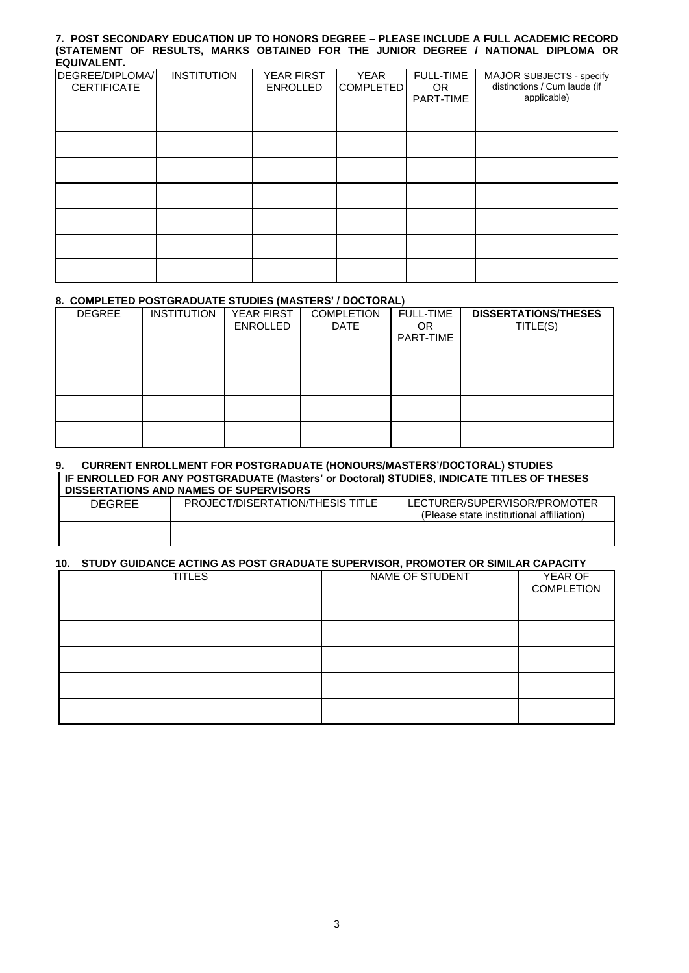#### **7. POST SECONDARY EDUCATION UP TO HONORS DEGREE – PLEASE INCLUDE A FULL ACADEMIC RECORD (STATEMENT OF RESULTS, MARKS OBTAINED FOR THE JUNIOR DEGREE / NATIONAL DIPLOMA OR EQUIVALENT.**

| ------------                          |                    |                               |                   |                                      |                                                                         |
|---------------------------------------|--------------------|-------------------------------|-------------------|--------------------------------------|-------------------------------------------------------------------------|
| DEGREE/DIPLOMA/<br><b>CERTIFICATE</b> | <b>INSTITUTION</b> | YEAR FIRST<br><b>ENROLLED</b> | YEAR<br>COMPLETED | <b>FULL-TIME</b><br>OR.<br>PART-TIME | MAJOR SUBJECTS - specify<br>distinctions / Cum laude (if<br>applicable) |
|                                       |                    |                               |                   |                                      |                                                                         |
|                                       |                    |                               |                   |                                      |                                                                         |
|                                       |                    |                               |                   |                                      |                                                                         |
|                                       |                    |                               |                   |                                      |                                                                         |
|                                       |                    |                               |                   |                                      |                                                                         |
|                                       |                    |                               |                   |                                      |                                                                         |
|                                       |                    |                               |                   |                                      |                                                                         |

# **8. COMPLETED POSTGRADUATE STUDIES (MASTERS' / DOCTORAL)**

| <b>DEGREE</b> | <b>INSTITUTION</b> | <b>YEAR FIRST</b><br>ENROLLED | <b>COMPLETION</b><br><b>DATE</b> | <b>FULL-TIME</b><br><b>OR</b><br>PART-TIME | <b>DISSERTATIONS/THESES</b><br>TITLE(S) |
|---------------|--------------------|-------------------------------|----------------------------------|--------------------------------------------|-----------------------------------------|
|               |                    |                               |                                  |                                            |                                         |
|               |                    |                               |                                  |                                            |                                         |
|               |                    |                               |                                  |                                            |                                         |
|               |                    |                               |                                  |                                            |                                         |

#### **9. CURRENT ENROLLMENT FOR POSTGRADUATE (HONOURS/MASTERS'/DOCTORAL) STUDIES IF ENROLLED FOR ANY POSTGRADUATE (Masters' or Doctoral) STUDIES, INDICATE TITLES OF THESES DISSERTATIONS AND NAMES OF SUPERVISORS**

| <b>DEGREE</b> | PROJECT/DISERTATION/THESIS TITLE | LECTURER/SUPERVISOR/PROMOTER<br>(Please state institutional affiliation) |
|---------------|----------------------------------|--------------------------------------------------------------------------|
|               |                                  |                                                                          |

#### **10. STUDY GUIDANCE ACTING AS POST GRADUATE SUPERVISOR, PROMOTER OR SIMILAR CAPACITY**

| <b>TITLES</b> | NAME OF STUDENT | YEAR OF<br><b>COMPLETION</b> |
|---------------|-----------------|------------------------------|
|               |                 |                              |
|               |                 |                              |
|               |                 |                              |
|               |                 |                              |
|               |                 |                              |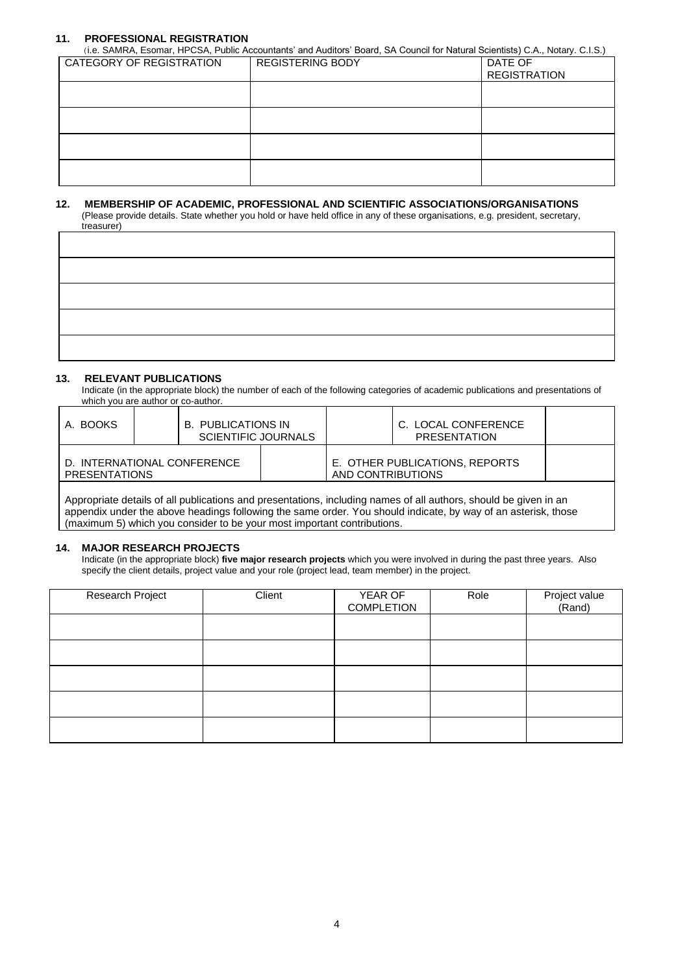# **11. PROFESSIONAL REGISTRATION**

(i.e. SAMRA, Esomar, HPCSA, Public Accountants' and Auditors' Board, SA Council for Natural Scientists) C.A., Notary. C.I.S.)

| CATEGORY OF REGISTRATION | <b>REGISTERING BODY</b> | DATE OF<br><b>REGISTRATION</b> |
|--------------------------|-------------------------|--------------------------------|
|                          |                         |                                |
|                          |                         |                                |
|                          |                         |                                |
|                          |                         |                                |

#### **12. MEMBERSHIP OF ACADEMIC, PROFESSIONAL AND SCIENTIFIC ASSOCIATIONS/ORGANISATIONS**

 (Please provide details. State whether you hold or have held office in any of these organisations, e.g. president, secretary, treasurer)

## **13. RELEVANT PUBLICATIONS**

Indicate (in the appropriate block) the number of each of the following categories of academic publications and presentations of which you are author or co-author.

| I A. BOOKS                                   |  | B. PUBLICATIONS IN<br><b>SCIENTIFIC JOURNALS</b> |                                | C. LOCAL CONFERENCE<br>PRESENTATION |  |
|----------------------------------------------|--|--------------------------------------------------|--------------------------------|-------------------------------------|--|
| D. INTERNATIONAL CONFERENCE<br>PRESENTATIONS |  | AND CONTRIBUTIONS                                | E. OTHER PUBLICATIONS, REPORTS |                                     |  |

Appropriate details of all publications and presentations, including names of all authors, should be given in an appendix under the above headings following the same order. You should indicate, by way of an asterisk, those (maximum 5) which you consider to be your most important contributions.

#### **14. MAJOR RESEARCH PROJECTS**

Indicate (in the appropriate block) **five major research projects** which you were involved in during the past three years. Also specify the client details, project value and your role (project lead, team member) in the project.

| Research Project | Client | YEAR OF<br><b>COMPLETION</b> | Role | Project value<br>(Rand) |
|------------------|--------|------------------------------|------|-------------------------|
|                  |        |                              |      |                         |
|                  |        |                              |      |                         |
|                  |        |                              |      |                         |
|                  |        |                              |      |                         |
|                  |        |                              |      |                         |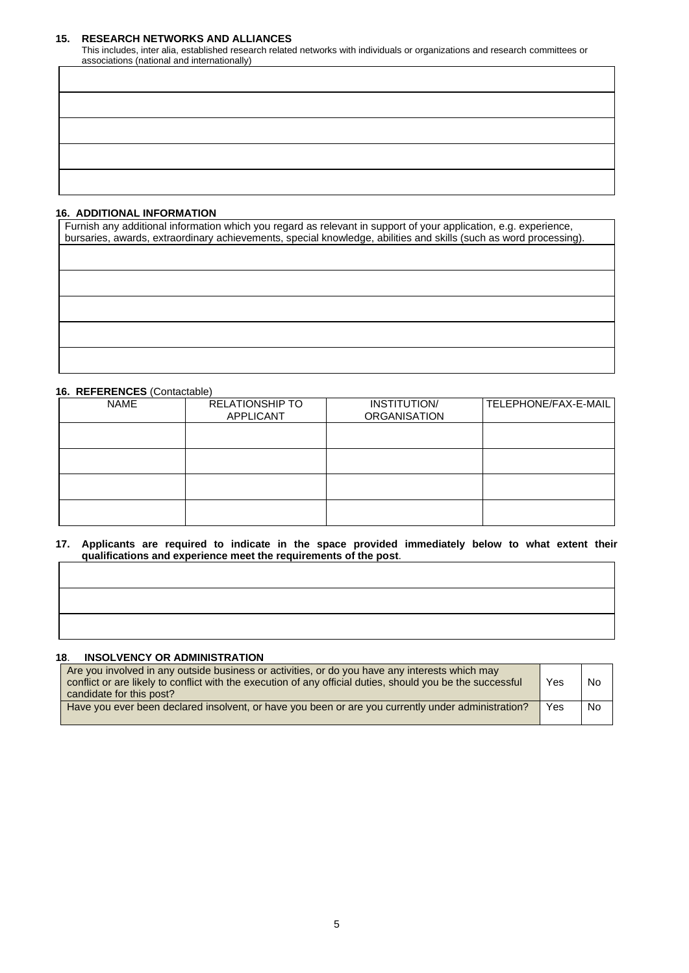## **15. RESEARCH NETWORKS AND ALLIANCES**

This includes, inter alia, established research related networks with individuals or organizations and research committees or associations (national and internationally)

# **16. ADDITIONAL INFORMATION**

| Furnish any additional information which you regard as relevant in support of your application, e.g. experience,<br>bursaries, awards, extraordinary achievements, special knowledge, abilities and skills (such as word processing). |
|---------------------------------------------------------------------------------------------------------------------------------------------------------------------------------------------------------------------------------------|
|                                                                                                                                                                                                                                       |
|                                                                                                                                                                                                                                       |
|                                                                                                                                                                                                                                       |
|                                                                                                                                                                                                                                       |
|                                                                                                                                                                                                                                       |

# **16. REFERENCES** (Contactable)

| <b>NAME</b> | <b>RELATIONSHIP TO</b><br>APPLICANT | INSTITUTION/<br><b>ORGANISATION</b> | TELEPHONE/FAX-E-MAIL |
|-------------|-------------------------------------|-------------------------------------|----------------------|
|             |                                     |                                     |                      |
|             |                                     |                                     |                      |
|             |                                     |                                     |                      |
|             |                                     |                                     |                      |

**17. Applicants are required to indicate in the space provided immediately below to what extent their qualifications and experience meet the requirements of the post**.

# **18**. **INSOLVENCY OR ADMINISTRATION**

| Are you involved in any outside business or activities, or do you have any interests which may<br>conflict or are likely to conflict with the execution of any official duties, should you be the successful<br>candidate for this post? | Yes | <b>No</b> |
|------------------------------------------------------------------------------------------------------------------------------------------------------------------------------------------------------------------------------------------|-----|-----------|
| Have you ever been declared insolvent, or have you been or are you currently under administration?                                                                                                                                       | Yes | <b>No</b> |